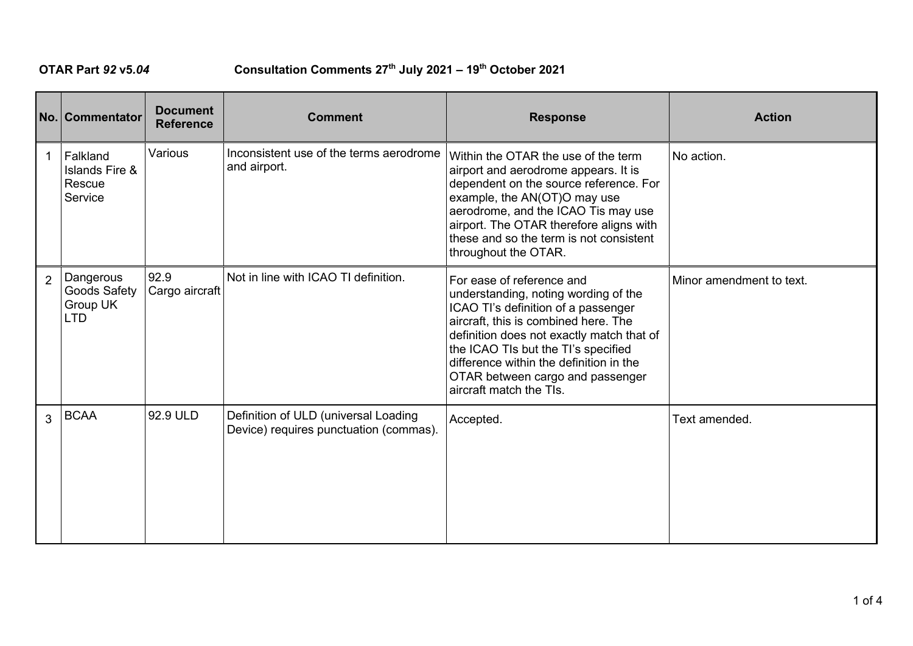## **OTAR Part** *92* **v5***.04* **Consultation Comments 27th July 2021 – 19th October 2021**

|                | No. Commentator                                            | <b>Document</b><br><b>Reference</b> | <b>Comment</b>                                                                 | <b>Response</b>                                                                                                                                                                                                                                                                                                                                | <b>Action</b>            |
|----------------|------------------------------------------------------------|-------------------------------------|--------------------------------------------------------------------------------|------------------------------------------------------------------------------------------------------------------------------------------------------------------------------------------------------------------------------------------------------------------------------------------------------------------------------------------------|--------------------------|
| $\mathbf{1}$   | Falkland<br><b>Islands Fire &amp;</b><br>Rescue<br>Service | Various                             | Inconsistent use of the terms aerodrome<br>and airport.                        | Within the OTAR the use of the term<br>airport and aerodrome appears. It is<br>dependent on the source reference. For<br>example, the AN(OT)O may use<br>aerodrome, and the ICAO Tis may use<br>airport. The OTAR therefore aligns with<br>these and so the term is not consistent<br>throughout the OTAR.                                     | No action.               |
| $\overline{2}$ | Dangerous<br><b>Goods Safety</b><br>Group UK<br><b>LTD</b> | 92.9<br>Cargo aircraft              | Not in line with ICAO TI definition.                                           | For ease of reference and<br>understanding, noting wording of the<br>ICAO TI's definition of a passenger<br>aircraft, this is combined here. The<br>definition does not exactly match that of<br>the ICAO TIs but the TI's specified<br>difference within the definition in the<br>OTAR between cargo and passenger<br>aircraft match the TIs. | Minor amendment to text. |
| 3              | <b>BCAA</b>                                                | 92.9 ULD                            | Definition of ULD (universal Loading<br>Device) requires punctuation (commas). | Accepted.                                                                                                                                                                                                                                                                                                                                      | Text amended.            |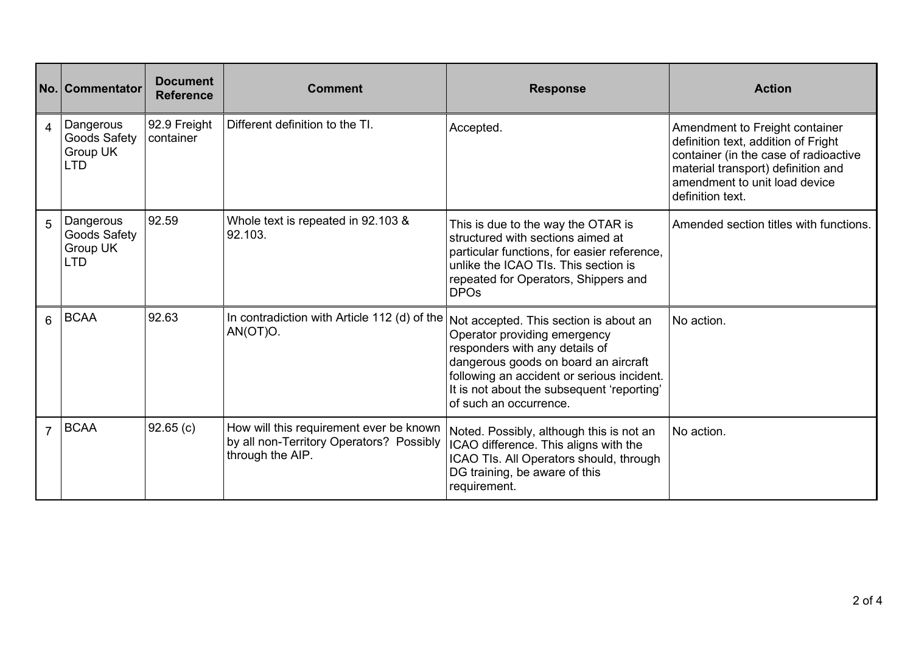|                | No. Commentator                                            | <b>Document</b><br><b>Reference</b> | <b>Comment</b>                                                                                          | <b>Response</b>                                                                                                                                                                                                                                                        | <b>Action</b>                                                                                                                                                                                             |
|----------------|------------------------------------------------------------|-------------------------------------|---------------------------------------------------------------------------------------------------------|------------------------------------------------------------------------------------------------------------------------------------------------------------------------------------------------------------------------------------------------------------------------|-----------------------------------------------------------------------------------------------------------------------------------------------------------------------------------------------------------|
| 4              | Dangerous<br>Goods Safety<br>Group UK<br><b>LTD</b>        | 92.9 Freight<br>container           | Different definition to the TI.                                                                         | Accepted.                                                                                                                                                                                                                                                              | Amendment to Freight container<br>definition text, addition of Fright<br>container (in the case of radioactive<br>material transport) definition and<br>amendment to unit load device<br>definition text. |
| 5              | Dangerous<br><b>Goods Safety</b><br>Group UK<br><b>LTD</b> | 92.59                               | Whole text is repeated in 92.103 &<br>92.103.                                                           | This is due to the way the OTAR is<br>structured with sections aimed at<br>particular functions, for easier reference,<br>unlike the ICAO TIs. This section is<br>repeated for Operators, Shippers and<br><b>DPOs</b>                                                  | Amended section titles with functions.                                                                                                                                                                    |
| 6              | <b>BCAA</b>                                                | 92.63                               | In contradiction with Article 112 (d) of the<br>AN(OT)O.                                                | Not accepted. This section is about an<br>Operator providing emergency<br>responders with any details of<br>dangerous goods on board an aircraft<br>following an accident or serious incident.<br>It is not about the subsequent 'reporting'<br>of such an occurrence. | No action.                                                                                                                                                                                                |
| $\overline{7}$ | <b>BCAA</b>                                                | 92.65(c)                            | How will this requirement ever be known<br>by all non-Territory Operators? Possibly<br>through the AIP. | Noted. Possibly, although this is not an<br>ICAO difference. This aligns with the<br>ICAO TIs. All Operators should, through<br>DG training, be aware of this<br>requirement.                                                                                          | No action.                                                                                                                                                                                                |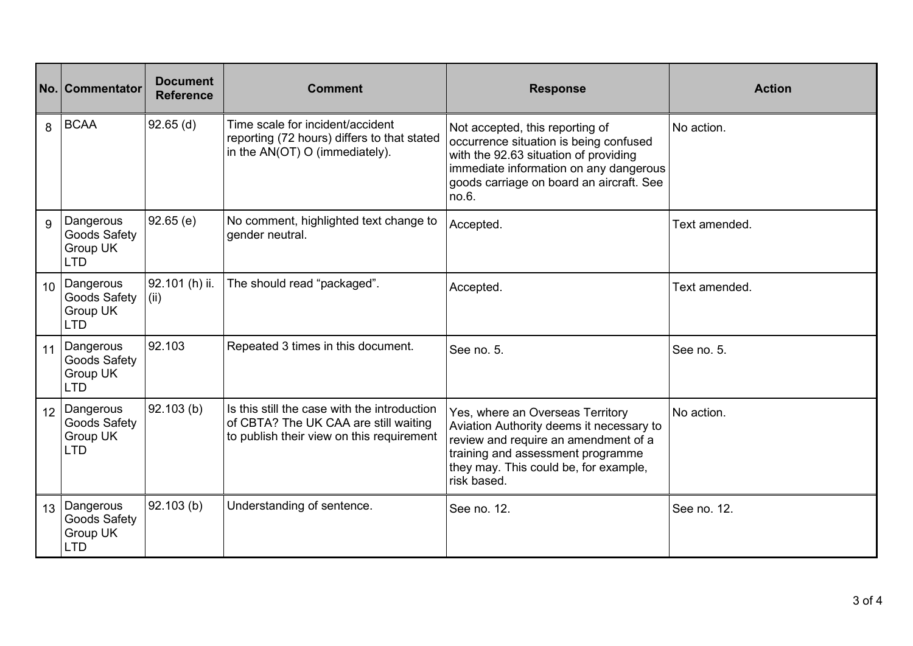|                 | No. Commentator                                            | <b>Document</b><br><b>Reference</b> | <b>Comment</b>                                                                                                                     | <b>Response</b>                                                                                                                                                                                                   | <b>Action</b> |
|-----------------|------------------------------------------------------------|-------------------------------------|------------------------------------------------------------------------------------------------------------------------------------|-------------------------------------------------------------------------------------------------------------------------------------------------------------------------------------------------------------------|---------------|
| 8               | <b>BCAA</b>                                                | $92.65$ (d)                         | Time scale for incident/accident<br>reporting (72 hours) differs to that stated<br>in the AN(OT) O (immediately).                  | Not accepted, this reporting of<br>occurrence situation is being confused<br>with the 92.63 situation of providing<br>immediate information on any dangerous<br>goods carriage on board an aircraft. See<br>no.6. | No action.    |
| 9               | Dangerous<br>Goods Safety<br>Group UK<br><b>LTD</b>        | 92.65(e)                            | No comment, highlighted text change to<br>gender neutral.                                                                          | Accepted.                                                                                                                                                                                                         | Text amended. |
| 10 <sup>1</sup> | Dangerous<br><b>Goods Safety</b><br>Group UK<br><b>LTD</b> | 92.101 (h) ii.<br>(ii)              | The should read "packaged".                                                                                                        | Accepted.                                                                                                                                                                                                         | Text amended. |
| 11              | Dangerous<br><b>Goods Safety</b><br>Group UK<br><b>LTD</b> | 92.103                              | Repeated 3 times in this document.                                                                                                 | See no. 5.                                                                                                                                                                                                        | See no. 5.    |
| 12              | Dangerous<br>Goods Safety<br>Group UK<br><b>LTD</b>        | 92.103(b)                           | Is this still the case with the introduction<br>of CBTA? The UK CAA are still waiting<br>to publish their view on this requirement | Yes, where an Overseas Territory<br>Aviation Authority deems it necessary to<br>review and require an amendment of a<br>training and assessment programme<br>they may. This could be, for example,<br>risk based. | No action.    |
| 13              | Dangerous<br>Goods Safety<br>Group UK<br><b>LTD</b>        | 92.103(b)                           | Understanding of sentence.                                                                                                         | See no. 12.                                                                                                                                                                                                       | See no. 12.   |